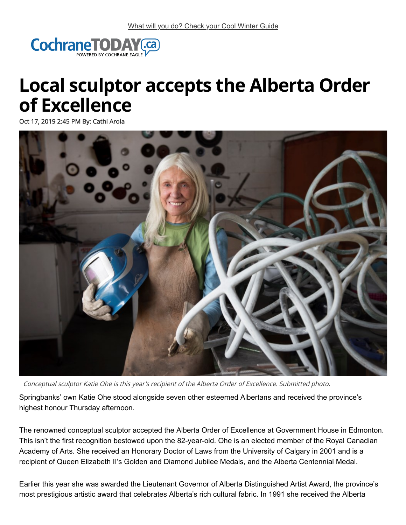

## **Local sculptor accepts the Alberta Order of Excellence**

Oct 17, 2019 2:45 PM By: Cathi Arola



Conceptual sculptor Katie Ohe is this year's recipient of the Alberta Order of Excellence. Submitted photo.

Springbanks' own Katie Ohe stood alongside seven other esteemed Albertans and received the province's highest honour Thursday afternoon.

The renowned conceptual sculptor accepted the Alberta Order of Excellence at Government House in Edmonton. This isn't the first recognition bestowed upon the 82-year-old. Ohe is an elected member of the Royal Canadian Academy of Arts. She received an Honorary Doctor of Laws from the University of Calgary in 2001 and is a recipient of Queen Elizabeth II's Golden and Diamond Jubilee Medals, and the Alberta Centennial Medal.

Earlier this year she was awarded the Lieutenant Governor of Alberta Distinguished Artist Award, the province's most prestigious artistic award that celebrates Alberta's rich cultural fabric. In 1991 she received the Alberta